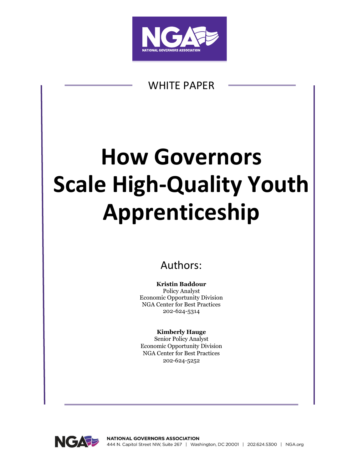

# WHITE PAPER

# **How Governors Scale High-Quality Youth Apprenticeship**

# Authors:

**Kristin Baddour** Policy Analyst Economic Opportunity Division NGA Center for Best Practices 202-624-5314

### **Kimberly Hauge**

Senior Policy Analyst Economic Opportunity Division NGA Center for Best Practices 202-624-5252

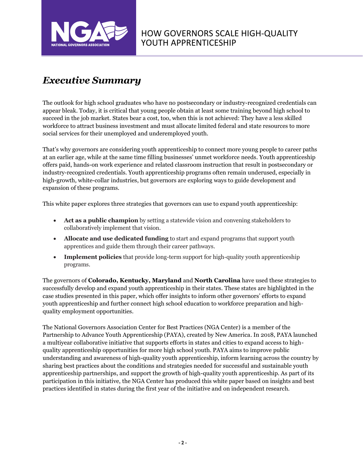

# *Executive Summary*

The outlook for high school graduates who have no postsecondary or industry-recognized credentials can appear bleak. Today, it is critical that young people obtain at least some training beyond high school to succeed in the job market. States bear a cost, too, when this is not achieved: They have a less skilled workforce to attract business investment and must allocate limited federal and state resources to more social services for their unemployed and underemployed youth.

That's why governors are considering youth apprenticeship to connect more young people to career paths at an earlier age, while at the same time filling businesses' unmet workforce needs. Youth apprenticeship offers paid, hands-on work experience and related classroom instruction that result in postsecondary or industry-recognized credentials. Youth apprenticeship programs often remain underused, especially in high-growth, white-collar industries, but governors are exploring ways to guide development and expansion of these programs.

This white paper explores three strategies that governors can use to expand youth apprenticeship:

- **Act as a public champion** by setting a statewide vision and convening stakeholders to collaboratively implement that vision.
- **Allocate and use dedicated funding** to start and expand programs that support youth apprentices and guide them through their career pathways.
- **Implement policies** that provide long-term support for high-quality youth apprenticeship programs.

The governors of **Colorado, Kentucky, Maryland** and **North Carolina** have used these strategies to successfully develop and expand youth apprenticeship in their states. These states are highlighted in the case studies presented in this paper, which offer insights to inform other governors' efforts to expand youth apprenticeship and further connect high school education to workforce preparation and highquality employment opportunities.

The National Governors Association Center for Best Practices (NGA Center) is a member of the Partnership to Advance Youth Apprenticeship (PAYA), created by New America. In 2018, PAYA launched a multiyear collaborative initiative that supports efforts in states and cities to expand access to highquality apprenticeship opportunities for more high school youth. PAYA aims to improve public understanding and awareness of high-quality youth apprenticeship, inform learning across the country by sharing best practices about the conditions and strategies needed for successful and sustainable youth apprenticeship partnerships, and support the growth of high-quality youth apprenticeship. As part of its participation in this initiative, the NGA Center has produced this white paper based on insights and best practices identified in states during the first year of the initiative and on independent research.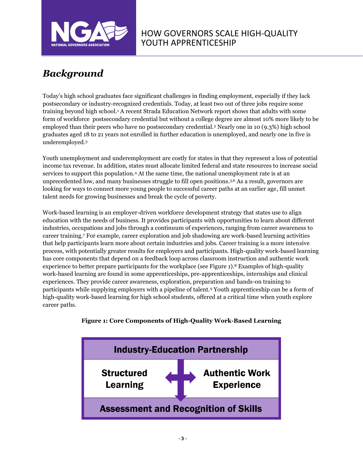

# *Background*

Today's high school graduates face significant challenges in finding employment, especially if they lack postsecondary or industry-recognized credentials. Today, at least two out of three jobs require some training beyond high school.<sup>1</sup> A recent Strada Education Network report shows that adults with some form of workforce postsecondary credential but without a college degree are almost 10% more likely to be employed than their peers who have no postsecondary credential.<sup>2</sup> Nearly one in 10 (9.3%) high school graduates aged 18 to 21 years not enrolled in further education is unemployed, and nearly one in five is underemployed.<sup>3</sup>

Youth unemployment and underemployment are costly for states in that they represent a loss of potential income tax revenue. In addition, states must allocate limited federal and state resources to increase social services to support this population.<sup>4</sup> At the same time, the national unemployment rate is at an unprecedented low, and many businesses struggle to fill open positions.5,6 As a result, governors are looking for ways to connect more young people to successful career paths at an earlier age, fill unmet talent needs for growing businesses and break the cycle of poverty.

Work-based learning is an employer-driven workforce development strategy that states use to align education with the needs of business. It provides participants with opportunities to learn about different industries, occupations and jobs through a continuum of experiences, ranging from career awareness to career training.<sup>7</sup> For example, career exploration and job shadowing are work-based learning activities that help participants learn more about certain industries and jobs. Career training is a more intensive process, with potentially greater results for employers and participants. High-quality work-based learning has core components that depend on a feedback loop across classroom instruction and authentic work experience to better prepare participants for the workplace (see Figure 1).<sup>8</sup> Examples of high-quality work-based learning are found in some apprenticeships, pre-apprenticeships, internships and clinical experiences. They provide career awareness, exploration, preparation and hands-on training to participants while supplying employers with a pipeline of talent.<sup>9</sup> Youth apprenticeship can be a form of high-quality work-based learning for high school students, offered at a critical time when youth explore career paths.



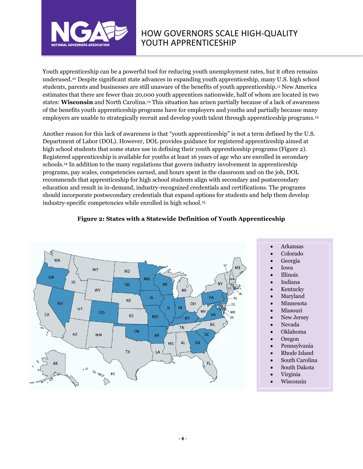

Youth apprenticeship can be a powerful tool for reducing youth unemployment rates, but it often remains underused. <sup>10</sup> Despite significant state advances in expanding youth apprenticeship, many U.S. high school students, parents and businesses are still unaware of the benefits of youth apprenticeship.<sup>11</sup> New America estimates that there are fewer than 20,000 youth apprentices nationwide, half of whom are located in two states: **Wisconsin** and North Carolina.<sup>12</sup> This situation has arisen partially because of a lack of awareness of the benefits youth apprenticeship programs have for employers and youths and partially because many employers are unable to strategically recruit and develop youth talent through apprenticeship programs. 13

Another reason for this lack of awareness is that "youth apprenticeship" is not a term defined by the U.S. Department of Labor (DOL). However, DOL provides guidance for registered apprenticeship aimed at high school students that some states use in defining their youth apprenticeship programs (Figure 2). Registered apprenticeship is available for youths at least 16 years of age who are enrolled in secondary schools.<sup>14</sup> In addition to the many regulations that govern industry involvement in apprenticeship programs, pay scales, competencies earned, and hours spent in the classroom and on the job, DOL recommends that apprenticeship for high school students align with secondary and postsecondary education and result in in-demand, industry-recognized credentials and certifications. The programs should incorporate postsecondary credentials that expand options for students and help them develop industry-specific competencies while enrolled in high school.<sup>15</sup>



#### **Figure 2: States with a Statewide Definition of Youth Apprenticeship**

- Arkansas
- Colorado
- Georgia
- Iowa
- Illinois
- Indiana
- **Kentucky**
- **Maryland**
- **Minnesota**
- **Missouri**
- New Jersey
- Nevada
- Oklahoma
- Oregon
- Pennsylvania
- Rhode Island
- South Carolina
- South Dakota
- Virginia
- Wisconsin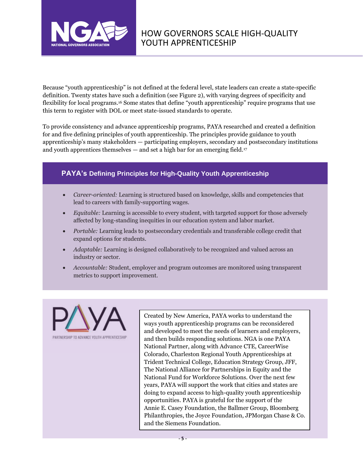

Because "youth apprenticeship" is not defined at the federal level, state leaders can create a state-specific definition. Twenty states have such a definition (see Figure 2), with varying degrees of specificity and flexibility for local programs.<sup>16</sup> Some states that define "youth apprenticeship" require programs that use this term to register with DOL or meet state-issued standards to operate.

To provide consistency and advance apprenticeship programs, PAYA researched and created a definition for and five defining principles of youth apprenticeship. The principles provide guidance to youth apprenticeship's many stakeholders — participating employers, secondary and postsecondary institutions and youth apprentices themselves  $-$  and set a high bar for an emerging field.<sup>17</sup>

### **PAYA's Defining Principles for High-Quality Youth Apprenticeship**

- *Career-oriented:* Learning is structured based on knowledge, skills and competencies that lead to careers with family-supporting wages.
- *Equitable:* Learning is accessible to every student, with targeted support for those adversely affected by long-standing inequities in our education system and labor market.
- *Portable:* Learning leads to postsecondary credentials and transferable college credit that expand options for students.
- *Adaptable:* Learning is designed collaboratively to be recognized and valued across an industry or sector.
- *Accountable:* Student, employer and program outcomes are monitored using transparent metrics to support improvement.



Created by New America, PAYA works to understand the ways youth apprenticeship programs can be reconsidered and developed to meet the needs of learners and employers, and then builds responding solutions. NGA is one PAYA National Partner, along with Advance CTE, CareerWise Colorado, Charleston Regional Youth Apprenticeships at Trident Technical College, Education Strategy Group, JFF, The National Alliance for Partnerships in Equity and the National Fund for Workforce Solutions. Over the next few years, PAYA will support the work that cities and states are doing to expand access to high-quality youth apprenticeship opportunities. PAYA is grateful for the support of the Annie E. Casey Foundation, the Ballmer Group, Bloomberg Philanthropies, the Joyce Foundation, JPMorgan Chase & Co. and the Siemens Foundation.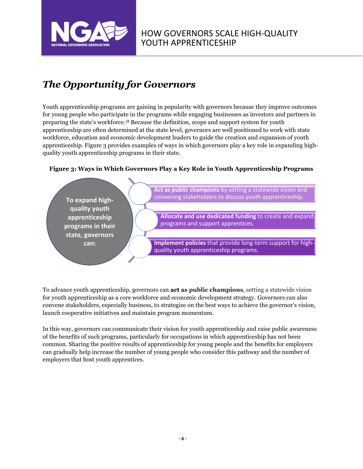

# *The Opportunity for Governors*

Youth apprenticeship programs are gaining in popularity with governors because they improve outcomes for young people who participate in the programs while engaging businesses as investors and partners in preparing the state's workforce.<sup>18</sup> Because the definition, scope and support system for youth apprenticeship are often determined at the state level, governors are well positioned to work with state workforce, education and economic development leaders to guide the creation and expansion of youth apprenticeship. Figure 3 provides examples of ways in which governors play a key role in expanding highquality youth apprenticeship programs in their state.

#### **Figure 3: Ways in Which Governors Play a Key Role in Youth Apprenticeship Programs**



To advance youth apprenticeship, governors can **act as public champions**, setting a statewide vision for youth apprenticeship as a core workforce and economic development strategy. Governors can also convene stakeholders, especially business, to strategize on the best ways to achieve the governor's vision, launch cooperative initiatives and maintain program momentum.

In this way, governors can communicate their vision for youth apprenticeship and raise public awareness of the benefits of such programs, particularly for occupations in which apprenticeship has not been common. Sharing the positive results of apprenticeship for young people and the benefits for employers can gradually help increase the number of young people who consider this pathway and the number of employers that host youth apprentices.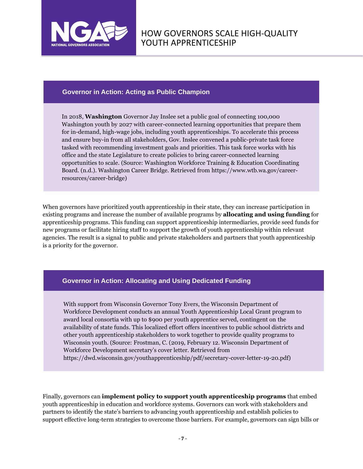

#### **Governor in Action: Acting as Public Champion**

In 2018, **Washington** Governor Jay Inslee set a public goal of connecting 100,000 Washington youth by 2027 with career-connected learning opportunities that prepare them for in-demand, high-wage jobs, including youth apprenticeships. To accelerate this process and ensure buy-in from all stakeholders, Gov. Inslee convened a public-private task force tasked with recommending investment goals and priorities. This task force works with his office and the state Legislature to create policies to bring career-connected learning opportunities to scale. (Source: Washington Workforce Training & Education Coordinating Board. (n.d.). Washington Career Bridge. Retrieved from https://www.wtb.wa.gov/careerresources/career-bridge)

When governors have prioritized youth apprenticeship in their state, they can increase participation in existing programs and increase the number of available programs by **allocating and using funding** for apprenticeship programs. This funding can support apprenticeship intermediaries, provide seed funds for new programs or facilitate hiring staff to support the growth of youth apprenticeship within relevant agencies. The result is a signal to public and private stakeholders and partners that youth apprenticeship is a priority for the governor.

#### **Governor in Action: Allocating and Using Dedicated Funding**

With support from Wisconsin Governor Tony Evers, the Wisconsin Department of Workforce Development conducts an annual Youth Apprenticeship Local Grant program to award local consortia with up to \$900 per youth apprentice served, contingent on the availability of state funds. This localized effort offers incentives to public school districts and other youth apprenticeship stakeholders to work together to provide quality programs to Wisconsin youth. (Source: Frostman, C. (2019, February 12. Wisconsin Department of Workforce Development secretary's cover letter. Retrieved from https://dwd.wisconsin.gov/youthapprenticeship/pdf/secretary-cover-letter-19-20.pdf)

Finally, governors can **implement policy to support youth apprenticeship programs** that embed youth apprenticeship in education and workforce systems. Governors can work with stakeholders and partners to identify the state's barriers to advancing youth apprenticeship and establish policies to support effective long-term strategies to overcome those barriers. For example, governors can sign bills or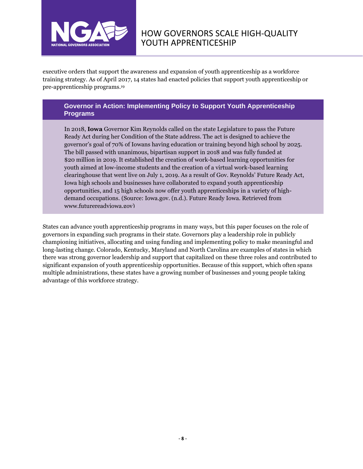

executive orders that support the awareness and expansion of youth apprenticeship as a workforce training strategy. As of April 2017, 14 states had enacted policies that support youth apprenticeship or pre-apprenticeship programs. 19

#### **Governor in Action: Implementing Policy to Support Youth Apprenticeship Programs**

In 2018, **Iowa** Governor Kim Reynolds called on the state Legislature to pass the Future Ready Act during her Condition of the State address. The act is designed to achieve the governor's goal of 70% of Iowans having education or training beyond high school by 2025. The bill passed with unanimous, bipartisan support in 2018 and was fully funded at \$20 million in 2019. It established the creation of work-based learning opportunities for youth aimed at low-income students and the creation of a virtual work-based learning clearinghouse that went live on July 1, 2019. As a result of Gov. Reynolds' Future Ready Act, Iowa high schools and businesses have collaborated to expand youth apprenticeship opportunities, and 15 high schools now offer youth apprenticeships in a variety of highdemand occupations. (Source: Iowa.gov. (n.d.). Future Ready Iowa. Retrieved from www.futurereadyiowa.gov)

States can advance youth apprenticeship programs in many ways, but this paper focuses on the role of governors in expanding such programs in their state. Governors play a leadership role in publicly championing initiatives, allocating and using funding and implementing policy to make meaningful and long-lasting change. Colorado, Kentucky, Maryland and North Carolina are examples of states in which there was strong governor leadership and support that capitalized on these three roles and contributed to significant expansion of youth apprenticeship opportunities. Because of this support, which often spans multiple administrations, these states have a growing number of businesses and young people taking advantage of this workforce strategy.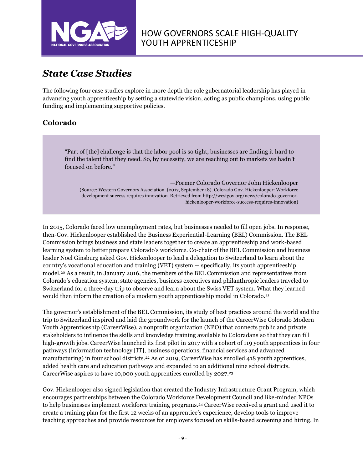

# *State Case Studies*

The following four case studies explore in more depth the role gubernatorial leadership has played in advancing youth apprenticeship by setting a statewide vision, acting as public champions, using public funding and implementing supportive policies.

### **Colorado**

"Part of [the] challenge is that the labor pool is so tight, businesses are finding it hard to find the talent that they need. So, by necessity, we are reaching out to markets we hadn't focused on before."

—Former Colorado Governor John Hickenlooper (Source: Western Governors Association. (2017, September 18). Colorado Gov. Hickenlooper: Workforce development success requires innovation. Retrieved from http://westgov.org/news/colorado-governorhickenlooper-workforce-success-requires-innovation)

In 2015, Colorado faced low unemployment rates, but businesses needed to fill open jobs. In response, then-Gov. Hickenlooper established the Business Experiential-Learning (BEL) Commission. The BEL Commission brings business and state leaders together to create an apprenticeship and work-based learning system to better prepare Colorado's workforce. Co-chair of the BEL Commission and business leader Noel Ginsburg asked Gov. Hickenlooper to lead a delegation to Switzerland to learn about the country's vocational education and training (VET) system — specifically, its youth apprenticeship model.<sup>20</sup> As a result, in January 2016, the members of the BEL Commission and representatives from Colorado's education system, state agencies, business executives and philanthropic leaders traveled to Switzerland for a three-day trip to observe and learn about the Swiss VET system. What they learned would then inform the creation of a modern youth apprenticeship model in Colorado.<sup>21</sup>

The governor's establishment of the BEL Commission, its study of best practices around the world and the trip to Switzerland inspired and laid the groundwork for the launch of the CareerWise Colorado Modern Youth Apprenticeship (CareerWise), a nonprofit organization (NPO) that connects public and private stakeholders to influence the skills and knowledge training available to Coloradans so that they can fill high-growth jobs. CareerWise launched its first pilot in 2017 with a cohort of 119 youth apprentices in four pathways (information technology [IT], business operations, financial services and advanced manufacturing) in four school districts.<sup>22</sup> As of 2019, CareerWise has enrolled 418 youth apprentices, added health care and education pathways and expanded to an additional nine school districts. CareerWise aspires to have 10,000 youth apprentices enrolled by 2027. 23

Gov. Hickenlooper also signed legislation that created the Industry Infrastructure Grant Program, which encourages partnerships between the Colorado Workforce Development Council and like-minded NPOs to help businesses implement workforce training programs.<sup>24</sup> CareerWise received a grant and used it to create a training plan for the first 12 weeks of an apprentice's experience, develop tools to improve teaching approaches and provide resources for employers focused on skills-based screening and hiring. In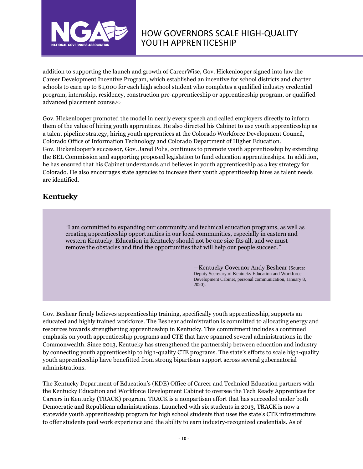

addition to supporting the launch and growth of CareerWise, Gov. Hickenlooper signed into law the Career Development Incentive Program, which established an incentive for school districts and charter schools to earn up to \$1,000 for each high school student who completes a qualified industry credential program, internship, residency, construction pre-apprenticeship or apprenticeship program, or qualified advanced placement course.<sup>25</sup>

Gov. Hickenlooper promoted the model in nearly every speech and called employers directly to inform them of the value of hiring youth apprentices. He also directed his Cabinet to use youth apprenticeship as a talent pipeline strategy, hiring youth apprentices at the Colorado Workforce Development Council, Colorado Office of Information Technology and Colorado Department of Higher Education. Gov. Hickenlooper's successor, Gov. Jared Polis, continues to promote youth apprenticeship by extending the BEL Commission and supporting proposed legislation to fund education apprenticeships. In addition, he has ensured that his Cabinet understands and believes in youth apprenticeship as a key strategy for Colorado. He also encourages state agencies to increase their youth apprenticeship hires as talent needs are identified.

### **Kentucky**

"I am committed to expanding our community and technical education programs, as well as creating apprenticeship opportunities in our local communities, especially in eastern and western Kentucky. Education in Kentucky should not be one size fits all, and we must remove the obstacles and find the opportunities that will help our people succeed."

> —Kentucky Governor Andy Beshear (Source: Deputy Secretary of Kentucky Education and Workforce Development Cabinet, personal communication, January 8, 2020).

Gov. Beshear firmly believes apprenticeship training, specifically youth apprenticeship, supports an educated and highly trained workforce. The Beshear administration is committed to allocating energy and resources towards strengthening apprenticeship in Kentucky. This commitment includes a continued emphasis on youth apprenticeship programs and CTE that have spanned several administrations in the Commonwealth. Since 2013, Kentucky has strengthened the partnership between education and industry by connecting youth apprenticeship to high-quality CTE programs. The state's efforts to scale high-quality youth apprenticeship have benefitted from strong bipartisan support across several gubernatorial administrations.

The Kentucky Department of Education's (KDE) Office of Career and Technical Education partners with the Kentucky Education and Workforce Development Cabinet to oversee the Tech Ready Apprentices for Careers in Kentucky (TRACK) program. TRACK is a nonpartisan effort that has succeeded under both Democratic and Republican administrations. Launched with six students in 2013, TRACK is now a statewide youth apprenticeship program for high school students that uses the state's CTE infrastructure to offer students paid work experience and the ability to earn industry-recognized credentials. As of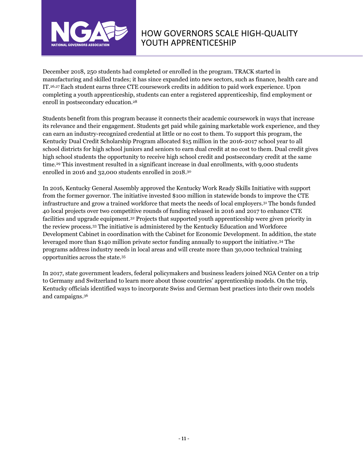

December 2018, 250 students had completed or enrolled in the program. TRACK started in manufacturing and skilled trades; it has since expanded into new sectors, such as finance, health care and IT. 26,27Each student earns three CTE coursework credits in addition to paid work experience. Upon completing a youth apprenticeship, students can enter a registered apprenticeship, find employment or enroll in postsecondary education.<sup>28</sup>

Students benefit from this program because it connects their academic coursework in ways that increase its relevance and their engagement. Students get paid while gaining marketable work experience, and they can earn an industry-recognized credential at little or no cost to them. To support this program, the Kentucky Dual Credit Scholarship Program allocated \$15 million in the 2016-2017 school year to all school districts for high school juniors and seniors to earn dual credit at no cost to them. Dual credit gives high school students the opportunity to receive high school credit and postsecondary credit at the same time.<sup>29</sup> This investment resulted in a significant increase in dual enrollments, with 9,000 students enrolled in 2016 and 32,000 students enrolled in 2018. 30

In 2016, Kentucky General Assembly approved the Kentucky Work Ready Skills Initiative with support from the former governor. The initiative invested \$100 million in statewide bonds to improve the CTE infrastructure and grow a trained workforce that meets the needs of local employers.<sup>31</sup> The bonds funded 40 local projects over two competitive rounds of funding released in 2016 and 2017 to enhance CTE facilities and upgrade equipment.<sup>32</sup> Projects that supported youth apprenticeship were given priority in the review process.<sup>33</sup> The initiative is administered by the Kentucky Education and Workforce Development Cabinet in coordination with the Cabinet for Economic Development. In addition, the state leveraged more than \$140 million private sector funding annually to support the initiative. <sup>34</sup> The programs address industry needs in local areas and will create more than 30,000 technical training opportunities across the state.<sup>35</sup>

In 2017, state government leaders, federal policymakers and business leaders joined NGA Center on a trip to Germany and Switzerland to learn more about those countries' apprenticeship models. On the trip, Kentucky officials identified ways to incorporate Swiss and German best practices into their own models and campaigns. 36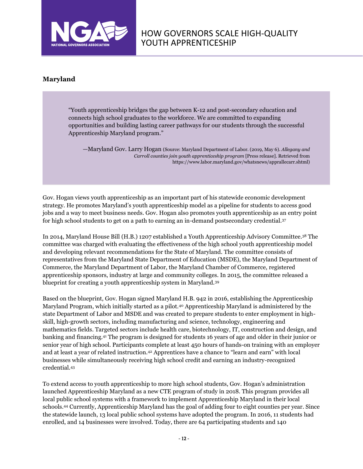

### **Maryland**

"Youth apprenticeship bridges the gap between K-12 and post-secondary education and connects high school graduates to the workforce. We are committed to expanding opportunities and building lasting career pathways for our students through the successful Apprenticeship Maryland program."

—Maryland Gov. Larry Hogan (Source: Maryland Department of Labor. (2019, May 6). *Allegany and Carroll counties join youth apprenticeship program* [Press release]. Retrieved from https://www.labor.maryland.gov/whatsnews/apprallecarr.shtml)

Gov. Hogan views youth apprenticeship as an important part of his statewide economic development strategy. He promotes Maryland's youth apprenticeship model as a pipeline for students to access good jobs and a way to meet business needs. Gov. Hogan also promotes youth apprenticeship as an entry point for high school students to get on a path to earning an in-demand postsecondary credential.<sup>37</sup>

In 2014, Maryland House Bill (H.B.) 1207 established a Youth Apprenticeship Advisory Committee.<sup>38</sup> The committee was charged with evaluating the effectiveness of the high school youth apprenticeship model and developing relevant recommendations for the State of Maryland. The committee consists of representatives from the Maryland State Department of Education (MSDE), the Maryland Department of Commerce, the Maryland Department of Labor, the Maryland Chamber of Commerce, registered apprenticeship sponsors, industry at large and community colleges. In 2015, the committee released a blueprint for creating a youth apprenticeship system in Maryland.<sup>39</sup>

Based on the blueprint, Gov. Hogan signed Maryland H.B. 942 in 2016, establishing the Apprenticeship Maryland Program, which initially started as a pilot.<sup>40</sup> Apprenticeship Maryland is administered by the state Department of Labor and MSDE and was created to prepare students to enter employment in highskill, high-growth sectors, including manufacturing and science, technology, engineering and mathematics fields. Targeted sectors include health care, biotechnology, IT, construction and design, and banking and financing.<sup>41</sup> The program is designed for students 16 years of age and older in their junior or senior year of high school. Participants complete at least 450 hours of hands-on training with an employer and at least a year of related instruction.<sup>42</sup> Apprentices have a chance to "learn and earn" with local businesses while simultaneously receiving high school credit and earning an industry-recognized credential.<sup>43</sup>

To extend access to youth apprenticeship to more high school students, Gov. Hogan's administration launched Apprenticeship Maryland as a new CTE program of study in 2018. This program provides all local public school systems with a framework to implement Apprenticeship Maryland in their local schools.<sup>44</sup> Currently, Apprenticeship Maryland has the goal of adding four to eight counties per year. Since the statewide launch, 13 local public school systems have adopted the program. In 2016, 11 students had enrolled, and 14 businesses were involved. Today, there are 64 participating students and 140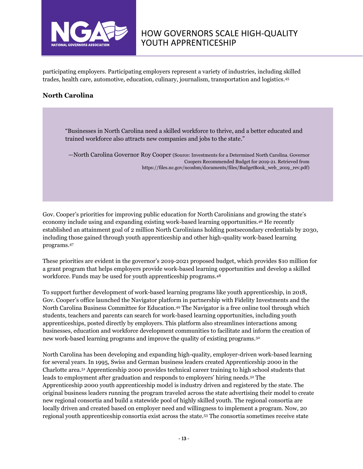

participating employers. Participating employers represent a variety of industries, including skilled trades, health care, automotive, education, culinary, journalism, transportation and logistics.<sup>45</sup>

#### **North Carolina**

"Businesses in North Carolina need a skilled workforce to thrive, and a better educated and trained workforce also attracts new companies and jobs to the state."

—North Carolina Governor Roy Cooper (Source: Investments for a Determined North Carolina. Governor Coopers Recommended Budget for 2019-21. Retrieved from [https://files.nc.gov/ncosbm/documents/files/BudgetBook\\_web\\_2019\\_rev.pdf\)](https://governor.nc.gov/news/governor-cooper-challenges-workforce-leaders-increase-work-based-learning-opportunities)

Gov. Cooper's priorities for improving public education for North Carolinians and growing the state's economy include using and expanding existing work-based learning opportunities.<sup>46</sup> He recently established an attainment goal of 2 million North Carolinians holding postsecondary credentials by 2030, including those gained through youth apprenticeship and other high-quality work-based learning programs.<sup>47</sup>

These priorities are evident in the governor's 2019-2021 proposed budget, which provides \$10 million for a grant program that helps employers provide work-based learning opportunities and develop a skilled workforce. Funds may be used for youth apprenticeship programs.<sup>48</sup>

To support further development of work-based learning programs like youth apprenticeship, in 2018, Gov. Cooper's office launched the Navigator platform in partnership with Fidelity Investments and the North Carolina Business Committee for Education.<sup>49</sup> The Navigator is a free online tool through which students, teachers and parents can search for work-based learning opportunities, including youth apprenticeships, posted directly by employers. This platform also streamlines interactions among businesses, education and workforce development communities to facilitate and inform the creation of new work-based learning programs and improve the quality of existing programs.<sup>50</sup>

North Carolina has been developing and expanding high-quality, employer-driven work-based learning for several years. In 1995, Swiss and German business leaders created Apprenticeship 2000 in the Charlotte area.<sup>51</sup> Apprenticeship 2000 provides technical career training to high school students that leads to employment after graduation and responds to employers' hiring needs.<sup>52</sup> The Apprenticeship 2000 youth apprenticeship model is industry driven and registered by the state. The original business leaders running the program traveled across the state advertising their model to create new regional consortia and build a statewide pool of highly skilled youth. The regional consortia are locally driven and created based on employer need and willingness to implement a program. Now, 20 regional youth apprenticeship consortia exist across the state.<sup>53</sup> The consortia sometimes receive state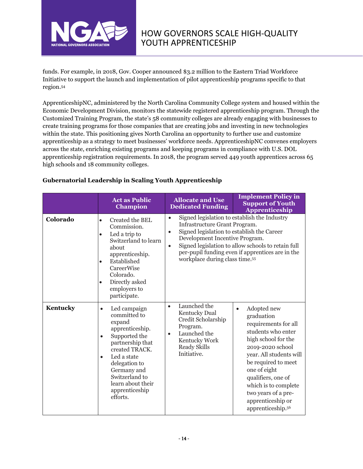

funds. For example, in 2018, Gov. Cooper announced \$3.2 million to the Eastern Triad Workforce Initiative to support the launch and implementation of pilot apprenticeship programs specific to that region. 54

ApprenticeshipNC, administered by the North Carolina Community College system and housed within the Economic Development Division, monitors the statewide registered apprenticeship program. Through the Customized Training Program, the state's 58 community colleges are already engaging with businesses to create training programs for those companies that are creating jobs and investing in new technologies within the state. This positioning gives North Carolina an opportunity to further use and customize apprenticeship as a strategy to meet businesses' workforce needs. ApprenticeshipNC convenes employers across the state, enriching existing programs and keeping programs in compliance with U.S. DOL apprenticeship registration requirements. In 2018, the program served 449 youth apprentices across 65 high schools and 18 community colleges.

|          | <b>Act as Public</b><br><b>Champion</b>                                                                                                                                                                                                                                     | <b>Allocate and Use</b><br><b>Dedicated Funding</b>                                                                                                                                                | <b>Implement Policy in</b><br><b>Support of Youth</b><br>Apprenticeship                                                                                                                                                                                                                                          |
|----------|-----------------------------------------------------------------------------------------------------------------------------------------------------------------------------------------------------------------------------------------------------------------------------|----------------------------------------------------------------------------------------------------------------------------------------------------------------------------------------------------|------------------------------------------------------------------------------------------------------------------------------------------------------------------------------------------------------------------------------------------------------------------------------------------------------------------|
| Colorado | Created the BEL<br>$\bullet$<br>Commission.<br>Led a trip to<br>$\bullet$<br>Switzerland to learn<br>about<br>apprenticeship.<br>Established<br>$\bullet$<br>CareerWise<br>Colorado.<br>Directly asked<br>$\bullet$<br>employers to<br>participate.                         | $\bullet$<br>Infrastructure Grant Program.<br>Signed legislation to establish the Career<br>$\bullet$<br>Development Incentive Program.<br>$\bullet$<br>workplace during class time. <sup>55</sup> | Signed legislation to establish the Industry<br>Signed legislation to allow schools to retain full<br>per-pupil funding even if apprentices are in the                                                                                                                                                           |
| Kentucky | Led campaign<br>$\bullet$<br>committed to<br>expand<br>apprenticeship.<br>Supported the<br>$\bullet$<br>partnership that<br>created TRACK.<br>Led a state<br>$\bullet$<br>delegation to<br>Germany and<br>Switzerland to<br>learn about their<br>apprenticeship<br>efforts. | Launched the<br>$\bullet$<br><b>Kentucky Dual</b><br>Credit Scholarship<br>Program.<br>Launched the<br>$\bullet$<br>Kentucky Work<br><b>Ready Skills</b><br>Initiative.                            | Adopted new<br>$\bullet$<br>graduation<br>requirements for all<br>students who enter<br>high school for the<br>2019-2020 school<br>year. All students will<br>be required to meet<br>one of eight<br>qualifiers, one of<br>which is to complete<br>two years of a pre-<br>apprenticeship or<br>apprenticeship.56 |

#### **Gubernatorial Leadership in Scaling Youth Apprenticeship**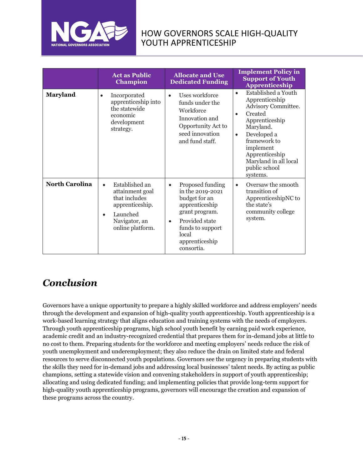

|                       | <b>Act as Public</b><br><b>Champion</b>                                                                                                          | <b>Allocate and Use</b><br><b>Dedicated Funding</b>                                                                                                                                                | <b>Implement Policy in</b><br><b>Support of Youth</b><br><b>Apprenticeship</b>                                                                                                                                                                       |
|-----------------------|--------------------------------------------------------------------------------------------------------------------------------------------------|----------------------------------------------------------------------------------------------------------------------------------------------------------------------------------------------------|------------------------------------------------------------------------------------------------------------------------------------------------------------------------------------------------------------------------------------------------------|
| Maryland              | Incorporated<br>$\bullet$<br>apprenticeship into<br>the statewide<br>economic<br>development<br>strategy.                                        | Uses workforce<br>funds under the<br>Workforce<br>Innovation and<br>Opportunity Act to<br>seed innovation<br>and fund staff.                                                                       | Established a Youth<br>$\bullet$<br>Apprenticeship<br>Advisory Committee.<br>Created<br>Apprenticeship<br>Maryland.<br>Developed a<br>$\bullet$<br>framework to<br>implement<br>Apprenticeship<br>Maryland in all local<br>public school<br>systems. |
| <b>North Carolina</b> | Established an<br>$\bullet$<br>attainment goal<br>that includes<br>apprenticeship.<br>Launched<br>$\bullet$<br>Navigator, an<br>online platform. | Proposed funding<br>$\bullet$<br>in the 2019-2021<br>budget for an<br>apprenticeship<br>grant program.<br>Provided state<br>$\bullet$<br>funds to support<br>local<br>apprenticeship<br>consortia. | Oversaw the smooth<br>$\bullet$<br>transition of<br>ApprenticeshipNC to<br>the state's<br>community college<br>system.                                                                                                                               |

# *Conclusion*

Governors have a unique opportunity to prepare a highly skilled workforce and address employers' needs through the development and expansion of high-quality youth apprenticeship. Youth apprenticeship is a work-based learning strategy that aligns education and training systems with the needs of employers. Through youth apprenticeship programs, high school youth benefit by earning paid work experience, academic credit and an industry-recognized credential that prepares them for in-demand jobs at little to no cost to them. Preparing students for the workforce and meeting employers' needs reduce the risk of youth unemployment and underemployment; they also reduce the drain on limited state and federal resources to serve disconnected youth populations. Governors see the urgency in preparing students with the skills they need for in-demand jobs and addressing local businesses' talent needs. By acting as public champions, setting a statewide vision and convening stakeholders in support of youth apprenticeship; allocating and using dedicated funding; and implementing policies that provide long-term support for high-quality youth apprenticeship programs, governors will encourage the creation and expansion of these programs across the country.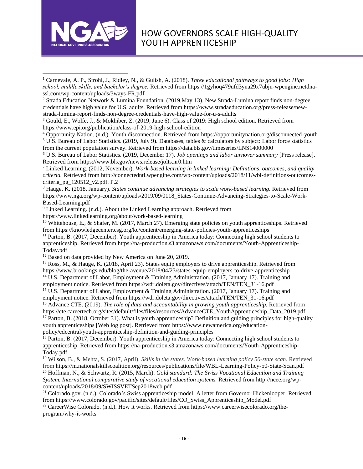

<sup>2</sup> Strada Education Network & Lumina Foundation. (2019,May 13). New Strada-Lumina report finds non-degree credentials have high value for U.S. adults. Retrieved from https://www.stradaeducation.org/press-release/newstrada-lumina-report-finds-non-degree-credentials-have-high-value-for-u-s-adults

<sup>3</sup> Gould, E., Wolfe, J., & Mokhiber, Z. (2019, June 6). Class of 2019: High school edition. Retrieved from https://www.epi.org/publication/class-of-2019-high-school-edition

<sup>4</sup> Opportunity Nation. (n.d.). Youth disconnection. Retrieved from https://opportunitynation.org/disconnected-youth <sup>5</sup> U.S. Bureau of Labor Statistics. (2019, July 9). Databases, tables & calculators by subject: Labor force statistics from the current population survey. Retrieved from https://data.bls.gov/timeseries/LNS14000000

<sup>6</sup> U.S. Bureau of Labor Statistics. (2019, December 17). *Job openings and labor turnover summary* [Press release]. Retrieved from https://www.bls.gov/news.release/jolts.nr0.htm

<sup>7</sup> Linked Learning. (2012, November). *Work-based learning in linked learning: Definitions, outcomes, and quality criteria.* Retrieved from http://connectedntl.wpengine.com/wp-content/uploads/2018/11/wbl-definitions-outcomescriteria\_pg\_120512\_v2.pdf. P.2

<sup>8</sup> Hauge, K. (2018, January). *States continue advancing strategies to scale work-based learning.* Retrieved from https://www.nga.org/wp-content/uploads/2019/09/0118\_States-Continue-Advancing-Strategies-to-Scale-Work-Based-Learning.pdf

<sup>9</sup> Linked Learning. (n.d.). About the Linked Learning approach. Retrieved from

https://www.linkedlearning.org/about/work-based-learning

<sup>10</sup> Whitehouse, E., & Shafer, M. (2017, March 27). Emerging state policies on youth apprenticeships. Retrieved from https://knowledgecenter.csg.org/kc/content/emerging-state-policies-youth-apprenticeships

<sup>11</sup> Parton, B. (2017, December). Youth apprenticeship in America today: Connecting high school students to apprenticeship. Retrieved from https://na-production.s3.amazonaws.com/documents/Youth-Apprenticeship-Today.pdf

<sup>12</sup> Based on data provided by New America on June 20, 2019.

<sup>13</sup> Ross, M., & Hauge, K. (2018, April 23). States equip employers to drive apprenticeship. Retrieved from https://www.brookings.edu/blog/the-avenue/2018/04/23/states-equip-employers-to-drive-apprenticeship

<sup>14</sup> U.S. Department of Labor, Employment & Training Administration. (2017, January 17). Training and employment notice. Retrieved from https://wdr.doleta.gov/directives/attach/TEN/TEN\_31-16.pdf

<sup>15</sup> U.S. Department of Labor, Employment & Training Administration. (2017, January 17). Training and employment notice. Retrieved from https://wdr.doleta.gov/directives/attach/TEN/TEN\_31-16.pdf

<sup>16</sup> Advance CTE. (2019). *The role of data and accountability in growing youth apprenticeship.* Retrieved from https://cte.careertech.org/sites/default/files/files/resources/AdvanceCTE\_YouthApprenticeship\_Data\_2019.pdf <sup>17</sup> Parton, B. (2018, October 31). What is youth apprenticeship? Definition and guiding principles for high-quality youth apprenticeships [Web log post]. Retrieved from https://www.newamerica.org/educationpolicy/edcentral/youth-apprenticeship-definition-and-guiding-principles

<sup>18</sup> Parton, B. (2017, December). Youth apprenticeship in America today: Connecting high school students to apprenticeship. Retrieved from https://na-production.s3.amazonaws.com/documents/Youth-Apprenticeship-Today.pdf

<sup>19</sup> Wilson, B., & Mehta, S. (2017, April). *Skills in the states. Work-based learning policy 50-state scan.* Retrieved from https://m.nationalskillscoalition.org/resources/publications/file/WBL-Learning-Policy-50-State-Scan.pdf <sup>20</sup> Hoffman, N., & Schwartz, R. (2015, March). *Gold standard: The Swiss Vocational Education and Training System. International comparative study of vocational education systems.* Retrieved from http://ncee.org/wpcontent/uploads/2018/09/SWISSVETSep2018web.pdf

<sup>21</sup> Colorado.gov. (n.d.). Colorado's Swiss apprenticeship model: A letter from Governor Hickenlooper. Retrieved from https://www.colorado.gov/pacific/sites/default/files/CO\_Swiss\_Apprenticeship\_Model.pdf

<sup>22</sup> CareerWise Colorado. (n.d.). How it works. Retrieved from https://www.careerwisecolorado.org/theprogram/why-it-works

<sup>1</sup> Carnevale, A. P., Strohl, J., Ridley, N., & Gulish, A. (2018). *Three educational pathways to good jobs: High school, middle skills, and bachelor's degree.* Retrieved from https://1gyhoq479ufd3yna29x7ubjn-wpengine.netdnassl.com/wp-content/uploads/3ways-FR.pdf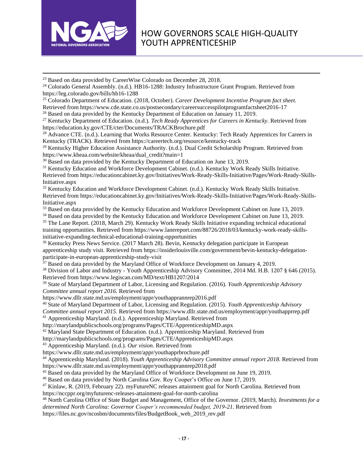

<sup>23</sup> Based on data provided by CareerWise Colorado on December 28, 2018.

<sup>24</sup> Colorado General Assembly. (n.d.). HB16-1288: Industry Infrastructure Grant Program. Retrieved from https://leg.colorado.gov/bills/hb16-1288

<sup>25</sup> Colorado Department of Education. (2018, October). *Career Development Incentive Program fact sheet.* Retrieved from https://www.cde.state.co.us/postsecondary/careersuccesspilotprogramfactsheet2016-17

<sup>26</sup> Based on data provided by the Kentucky Department of Education on January 11, 2019.

<sup>27</sup> Kentucky Department of Education. (n.d.). *Tech Ready Apprentices for Careers in Kentucky.* Retrieved from https://education.ky.gov/CTE/cter/Documents/TRACKBrochure.pdf

<sup>28</sup> Advance CTE. (n.d.). Learning that Works Resource Center. Kentucky: Tech Ready Apprentices for Careers in Kentucky (TRACK). Retrieved from https://careertech.org/resource/kentucky-track

<sup>29</sup> Kentucky Higher Education Assistance Authority. (n.d.). Dual Credit Scholarship Program. Retrieved from https://www.kheaa.com/website/kheaa/dual\_credit?main=1

<sup>30</sup> Based on data provided by the Kentucky Department of Education on June 13, 2019.

<sup>31</sup> Kentucky Education and Workforce Development Cabinet. (n.d.). Kentucky Work Ready Skills Initiative. Retrieved from https://educationcabinet.ky.gov/Initiatives/Work-Ready-Skills-Initiative/Pages/Work-Ready-Skills-Initiative.aspx

<sup>32</sup> Kentucky Education and Workforce Development Cabinet. (n.d.). Kentucky Work Ready Skills Initiative. Retrieved from https://educationcabinet.ky.gov/Initiatives/Work-Ready-Skills-Initiative/Pages/Work-Ready-Skills-Initiative.aspx

<sup>33</sup> Based on data provided by the Kentucky Education and Workforce Development Cabinet on June 13, 2019.

<sup>34</sup> Based on data provided by the Kentucky Education and Workforce Development Cabinet on June 13, 2019.

<sup>35</sup> The Lane Report. (2018, March 29). Kentucky Work Ready Skills Initiative expanding technical educational training opportunities. Retrieved from https://www.lanereport.com/88726/2018/03/kentucky-work-ready-skillsinitiative-expanding-technical-educational-training-opportunities

<sup>36</sup> Kentucky Press News Service. (2017 March 28). Bevin, Kentucky delegation participate in European apprenticeship study visit. Retrieved from https://insiderlouisville.com/government/bevin-kentucky-delegationparticipate-in-european-apprenticeship-study-visit

<sup>37</sup> Based on data provided by the Maryland Office of Workforce Development on January 4, 2019.

<sup>38</sup> Division of Labor and Industry - Youth Apprenticeship Advisory Committee, 2014 Md. H.B. 1207 § 646 (2015). Retrieved from https://www.legiscan.com/MD/text/HB1207/2014

<sup>39</sup> State of Maryland Department of Labor, Licensing and Regulation. (2016). *Youth Apprenticeship Advisory Committee annual report 2016.* Retrieved from

https://www.dllr.state.md.us/employment/appr/youthapprannrep2016.pdf

<sup>40</sup> State of Maryland Department of Labor, Licensing and Regulation. (2015). *Youth Apprenticeship Advisory* 

*Committee annual report 2015.* Retrieved from https://www.dllr.state.md.us/employment/appr/youthapprrep.pdf

<sup>41</sup> Apprenticeship Maryland. (n.d.). Apprenticeship Maryland. Retrieved from

http://marylandpublicschools.org/programs/Pages/CTE/ApprenticeshipMD.aspx

<sup>42</sup> Maryland State Department of Education. (n.d.). Apprenticeship Maryland. Retrieved from

http://marylandpublicschools.org/programs/Pages/CTE/ApprenticeshipMD.aspx

<sup>43</sup> Apprenticeship Maryland. (n.d.). *Our vision.* Retrieved from

https://www.dllr.state.md.us/employment/appr/youthapprbrochure.pdf

<sup>44</sup> Apprenticeship Maryland. (2018). *Youth Apprenticeship Advisory Committee annual report 2018.* Retrieved from https://www.dllr.state.md.us/employment/appr/youthapprannrep2018.pdf

<sup>45</sup> Based on data provided by the Maryland Office of Workforce Development on June 19, 2019.

<sup>46</sup> Based on data provided by North Carolina Gov. Roy Cooper's Office on June 17, 2019.

<sup>47</sup> Kinlaw, R. (2019, February 22). myFutureNC releases attainment goal for North Carolina. Retrieved from https://nccppr.org/myfuturenc-releases-attainment-goal-for-north-carolina

<sup>48</sup> North Carolina Office of State Budget and Management, Office of the Governor. (2019, March). *Investments for a determined North Carolina: Governor Cooper's recommended budget, 2019-21.* Retrieved from

https://files.nc.gov/ncosbm/documents/files/BudgetBook\_web\_2019\_rev.pdf